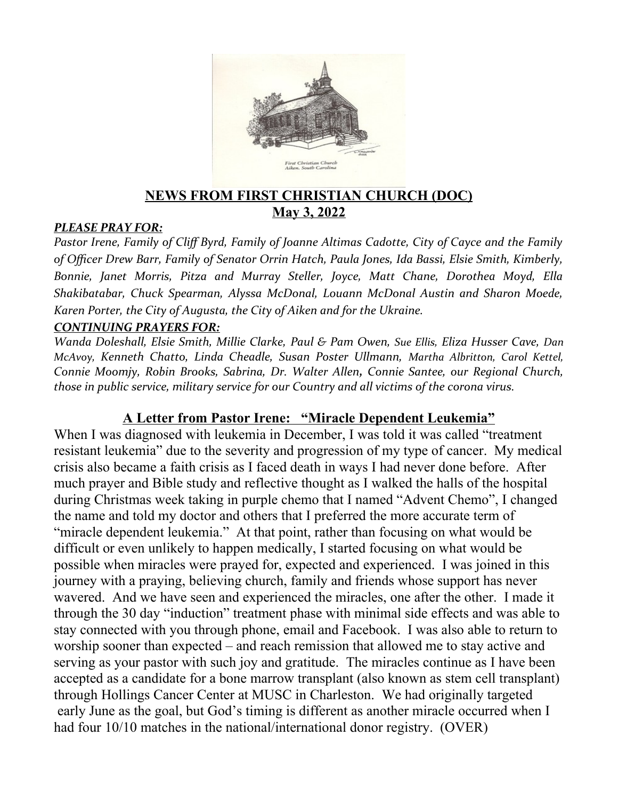

## **NEWS FROM FIRST CHRISTIAN CHURCH (DOC) May 3, 2022**

#### *PLEASE PRAY FOR:*

*Pastor Irene, Family of Cliff Byrd, Family of Joanne Altimas Cadotte, City of Cayce and the Family of Officer Drew Barr, Family of Senator Orrin Hatch, Paula Jones, Ida Bassi, Elsie Smith, Kimberly, Bonnie, Janet Morris, Pitza and Murray Steller, Joyce, Matt Chane, Dorothea Moyd, Ella Shakibatabar, Chuck Spearman, Alyssa McDonal, Louann McDonal Austin and Sharon Moede, Karen Porter, the City of Augusta, the City of Aiken and for the Ukraine.*

#### *CONTINUING PRAYERS FOR:*

*Wanda Doleshall, Elsie Smith, Millie Clarke, Paul & Pam Owen, Sue Ellis, Eliza Husser Cave, Dan McAvoy, Kenneth Chatto, Linda Cheadle, Susan Poster Ullmann, Martha Albritton, Carol Kettel, Connie Moomjy, Robin Brooks, Sabrina, Dr. Walter Allen, Connie Santee, our Regional Church, those in public service, military service for our Country and all victims of the corona virus.* 

## **A Letter from Pastor Irene: "Miracle Dependent Leukemia"**

When I was diagnosed with leukemia in December, I was told it was called "treatment" resistant leukemia" due to the severity and progression of my type of cancer. My medical crisis also became a faith crisis as I faced death in ways I had never done before. After much prayer and Bible study and reflective thought as I walked the halls of the hospital during Christmas week taking in purple chemo that I named "Advent Chemo", I changed the name and told my doctor and others that I preferred the more accurate term of "miracle dependent leukemia." At that point, rather than focusing on what would be difficult or even unlikely to happen medically, I started focusing on what would be possible when miracles were prayed for, expected and experienced. I was joined in this journey with a praying, believing church, family and friends whose support has never wavered. And we have seen and experienced the miracles, one after the other. I made it through the 30 day "induction" treatment phase with minimal side effects and was able to stay connected with you through phone, email and Facebook. I was also able to return to worship sooner than expected – and reach remission that allowed me to stay active and serving as your pastor with such joy and gratitude. The miracles continue as I have been accepted as a candidate for a bone marrow transplant (also known as stem cell transplant) through Hollings Cancer Center at MUSC in Charleston. We had originally targeted early June as the goal, but God's timing is different as another miracle occurred when I had four 10/10 matches in the national/international donor registry. (OVER)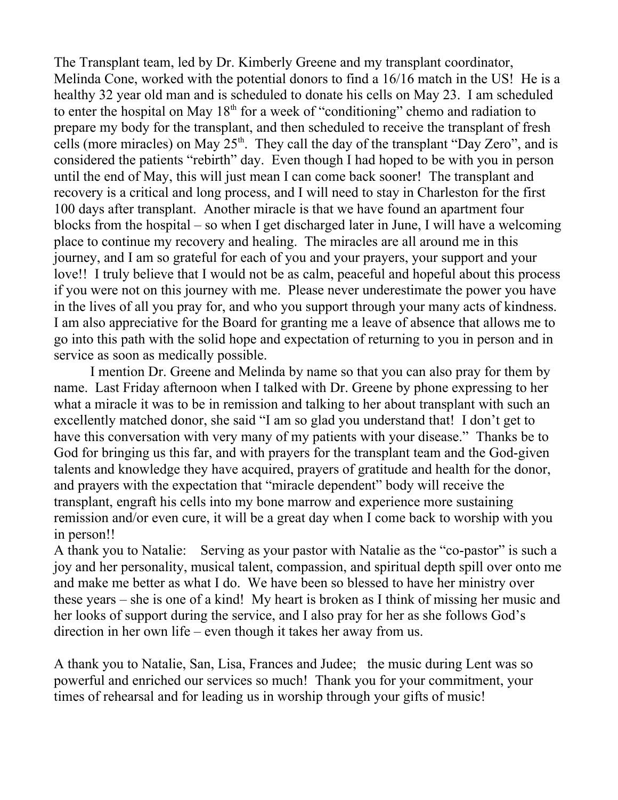The Transplant team, led by Dr. Kimberly Greene and my transplant coordinator, Melinda Cone, worked with the potential donors to find a 16/16 match in the US! He is a healthy 32 year old man and is scheduled to donate his cells on May 23. I am scheduled to enter the hospital on May  $18<sup>th</sup>$  for a week of "conditioning" chemo and radiation to prepare my body for the transplant, and then scheduled to receive the transplant of fresh cells (more miracles) on May  $25<sup>th</sup>$ . They call the day of the transplant "Day Zero", and is considered the patients "rebirth" day. Even though I had hoped to be with you in person until the end of May, this will just mean I can come back sooner! The transplant and recovery is a critical and long process, and I will need to stay in Charleston for the first 100 days after transplant. Another miracle is that we have found an apartment four blocks from the hospital – so when I get discharged later in June, I will have a welcoming place to continue my recovery and healing. The miracles are all around me in this journey, and I am so grateful for each of you and your prayers, your support and your love!! I truly believe that I would not be as calm, peaceful and hopeful about this process if you were not on this journey with me. Please never underestimate the power you have in the lives of all you pray for, and who you support through your many acts of kindness. I am also appreciative for the Board for granting me a leave of absence that allows me to go into this path with the solid hope and expectation of returning to you in person and in service as soon as medically possible.

I mention Dr. Greene and Melinda by name so that you can also pray for them by name. Last Friday afternoon when I talked with Dr. Greene by phone expressing to her what a miracle it was to be in remission and talking to her about transplant with such an excellently matched donor, she said "I am so glad you understand that! I don't get to have this conversation with very many of my patients with your disease." Thanks be to God for bringing us this far, and with prayers for the transplant team and the God-given talents and knowledge they have acquired, prayers of gratitude and health for the donor, and prayers with the expectation that "miracle dependent" body will receive the transplant, engraft his cells into my bone marrow and experience more sustaining remission and/or even cure, it will be a great day when I come back to worship with you in person!!

A thank you to Natalie: Serving as your pastor with Natalie as the "co-pastor" is such a joy and her personality, musical talent, compassion, and spiritual depth spill over onto me and make me better as what I do. We have been so blessed to have her ministry over these years – she is one of a kind! My heart is broken as I think of missing her music and her looks of support during the service, and I also pray for her as she follows God's direction in her own life – even though it takes her away from us.

A thank you to Natalie, San, Lisa, Frances and Judee; the music during Lent was so powerful and enriched our services so much! Thank you for your commitment, your times of rehearsal and for leading us in worship through your gifts of music!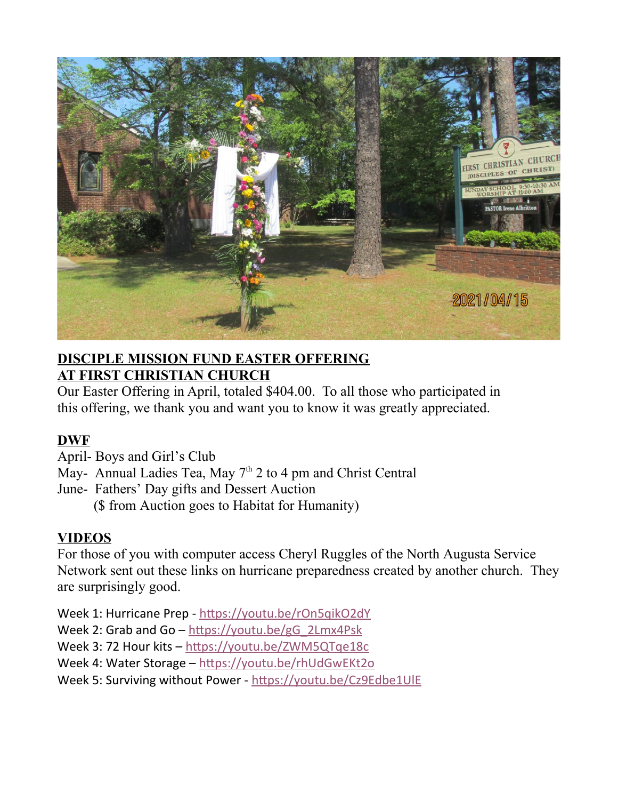

## **DISCIPLE MISSION FUND EASTER OFFERING AT FIRST CHRISTIAN CHURCH**

Our Easter Offering in April, totaled \$404.00. To all those who participated in this offering, we thank you and want you to know it was greatly appreciated.

# **DWF**

April- Boys and Girl's Club

May- Annual Ladies Tea, May  $7<sup>th</sup>$  2 to 4 pm and Christ Central

June- Fathers' Day gifts and Dessert Auction

(\$ from Auction goes to Habitat for Humanity)

# **VIDEOS**

For those of you with computer access Cheryl Ruggles of the North Augusta Service Network sent out these links on hurricane preparedness created by another church. They are surprisingly good.

Week 1: Hurricane Prep - https://youtu.be/rOn5qikO2dY

```
Week 2: Grab and Go – https://youtu.be/gG_2Lmx4Psk
```
Week 3: 72 Hour kits – https://youtu.be/ZWM5QTqe18c

Week 4: Water Storage – https://youtu.be/rhUdGwEKt2o

```
Week 5: Surviving without Power - https://youtu.be/Cz9Edbe1UlE
```